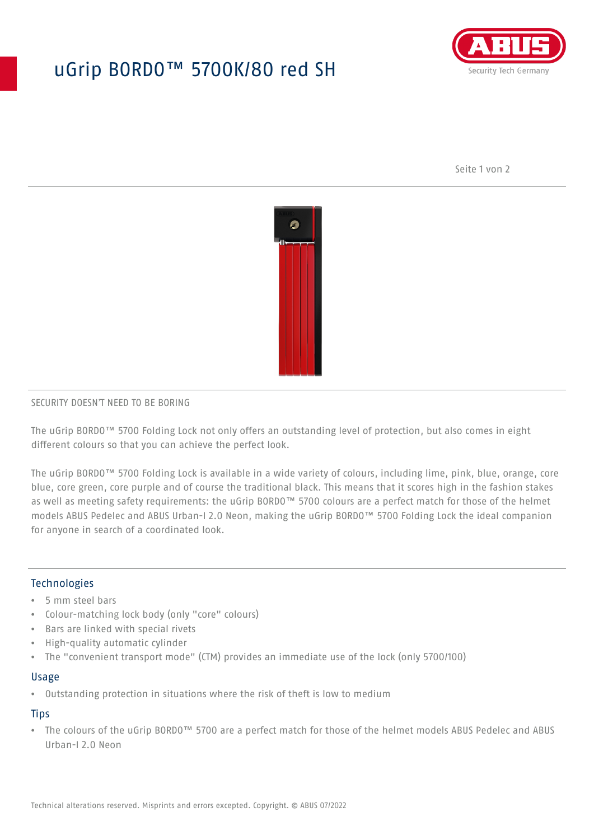# uGrip BORDO™ 5700K/80 red SH



Seite 1 von 2



#### SECURITY DOESN'T NEED TO BE BORING

The uGrip BORDO™ 5700 Folding Lock not only offers an outstanding level of protection, but also comes in eight different colours so that you can achieve the perfect look.

The uGrip BORDO™ 5700 Folding Lock is available in a wide variety of colours, including lime, pink, blue, orange, core blue, core green, core purple and of course the traditional black. This means that it scores high in the fashion stakes as well as meeting safety requirements: the uGrip BORDO™ 5700 colours are a perfect match for those of the helmet models ABUS Pedelec and ABUS Urban-I 2.0 Neon, making the uGrip BORDO™ 5700 Folding Lock the ideal companion for anyone in search of a coordinated look.

## Technologies

- 5 mm steel bars
- Colour-matching lock body (only "core" colours)
- Bars are linked with special rivets
- High-quality automatic cylinder
- The "convenient transport mode" (CTM) provides an immediate use of the lock (only 5700/100)

#### Usage

• Outstanding protection in situations where the risk of theft is low to medium

### **Tips**

• The colours of the uGrip BORDO™ 5700 are a perfect match for those of the helmet models ABUS Pedelec and ABUS Urban-I 2.0 Neon